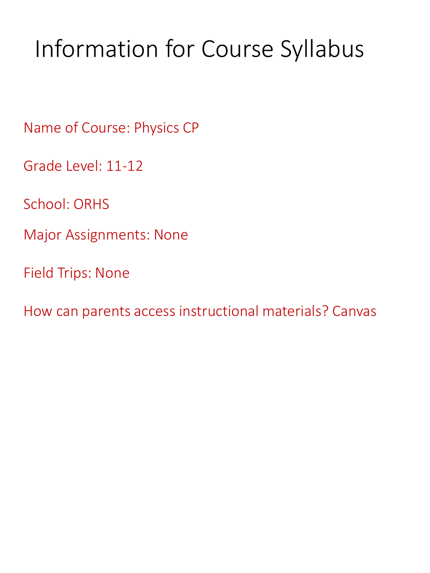# Information for Course Syllabus

Name of Course: Physics CP

Grade Level: 11-12

School: ORHS

Major Assignments: None

Field Trips: None

How can parents access instructional materials? Canvas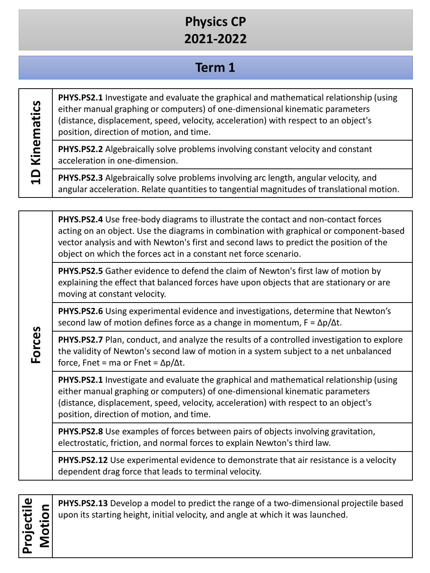## **Physics CP 2021-2022**

#### **Term 1**

1D Kinematics **1D Kinematics**

**PHYS.PS2.1** Investigate and evaluate the graphical and mathematical relationship (using either manual graphing or computers) of one-dimensional kinematic parameters (distance, displacement, speed, velocity, acceleration) with respect to an object's position, direction of motion, and time.

**PHYS.PS2.2** Algebraically solve problems involving constant velocity and constant acceleration in one-dimension.

**PHYS.PS2.3** Algebraically solve problems involving arc length, angular velocity, and angular acceleration. Relate quantities to tangential magnitudes of translational motion.

**PHYS.PS2.4** Use free-body diagrams to illustrate the contact and non-contact forces acting on an object. Use the diagrams in combination with graphical or component-based vector analysis and with Newton's first and second laws to predict the position of the object on which the forces act in a constant net force scenario.

**PHYS.PS2.5** Gather evidence to defend the claim of Newton's first law of motion by explaining the effect that balanced forces have upon objects that are stationary or are moving at constant velocity.

**PHYS.PS2.6** Using experimental evidence and investigations, determine that Newton's second law of motion defines force as a change in momentum,  $F = \Delta p / \Delta t$ .

**PHYS.PS2.7** Plan, conduct, and analyze the results of a controlled investigation to explore the validity of Newton's second law of motion in a system subject to a net unbalanced force, Fnet = ma or Fnet =  $\Delta p/\Delta t$ .

**PHYS.PS2.1** Investigate and evaluate the graphical and mathematical relationship (using either manual graphing or computers) of one-dimensional kinematic parameters (distance, displacement, speed, velocity, acceleration) with respect to an object's position, direction of motion, and time.

**PHYS.PS2.8** Use examples of forces between pairs of objects involving gravitation, electrostatic, friction, and normal forces to explain Newton's third law.

**PHYS.PS2.12** Use experimental evidence to demonstrate that air resistance is a velocity dependent drag force that leads to terminal velocity.

**Projectile** 

**Forces**

**MotionPHYS.PS2.13** Develop a model to predict the range of a two-dimensional projectile based upon its starting height, initial velocity, and angle at which it was launched.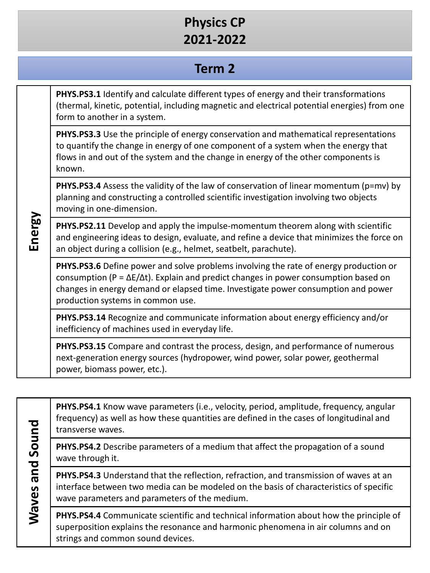## **Physics CP 2021-2022**

#### **Term 2**

| Energy | PHYS.PS3.1 Identify and calculate different types of energy and their transformations<br>(thermal, kinetic, potential, including magnetic and electrical potential energies) from one<br>form to another in a system.                                                                                                 |
|--------|-----------------------------------------------------------------------------------------------------------------------------------------------------------------------------------------------------------------------------------------------------------------------------------------------------------------------|
|        | <b>PHYS.PS3.3</b> Use the principle of energy conservation and mathematical representations<br>to quantify the change in energy of one component of a system when the energy that<br>flows in and out of the system and the change in energy of the other components is<br>known.                                     |
|        | PHYS.PS3.4 Assess the validity of the law of conservation of linear momentum (p=mv) by<br>planning and constructing a controlled scientific investigation involving two objects<br>moving in one-dimension.                                                                                                           |
|        | <b>PHYS.PS2.11</b> Develop and apply the impulse-momentum theorem along with scientific<br>and engineering ideas to design, evaluate, and refine a device that minimizes the force on<br>an object during a collision (e.g., helmet, seatbelt, parachute).                                                            |
|        | PHYS.PS3.6 Define power and solve problems involving the rate of energy production or<br>consumption ( $P = \Delta E/\Delta t$ ). Explain and predict changes in power consumption based on<br>changes in energy demand or elapsed time. Investigate power consumption and power<br>production systems in common use. |
|        | PHYS.PS3.14 Recognize and communicate information about energy efficiency and/or<br>inefficiency of machines used in everyday life.                                                                                                                                                                                   |
|        | PHYS.PS3.15 Compare and contrast the process, design, and performance of numerous<br>next-generation energy sources (hydropower, wind power, solar power, geothermal<br>power, biomass power, etc.).                                                                                                                  |

**PHYS.PS4.1** Know wave parameters (i.e., velocity, period, amplitude, frequency, angular frequency) as well as how these quantities are defined in the cases of longitudinal and transverse waves.

**PHYS.PS4.2** Describe parameters of a medium that affect the propagation of a sound wave through it.

**Waves and Sound**

Waves and Sound

PHYS.PS4.3 Understand that the reflection, refraction, and transmission of waves at an interface between two media can be modeled on the basis of characteristics of specific wave parameters and parameters of the medium.

**PHYS.PS4.4** Communicate scientific and technical information about how the principle of superposition explains the resonance and harmonic phenomena in air columns and on strings and common sound devices.